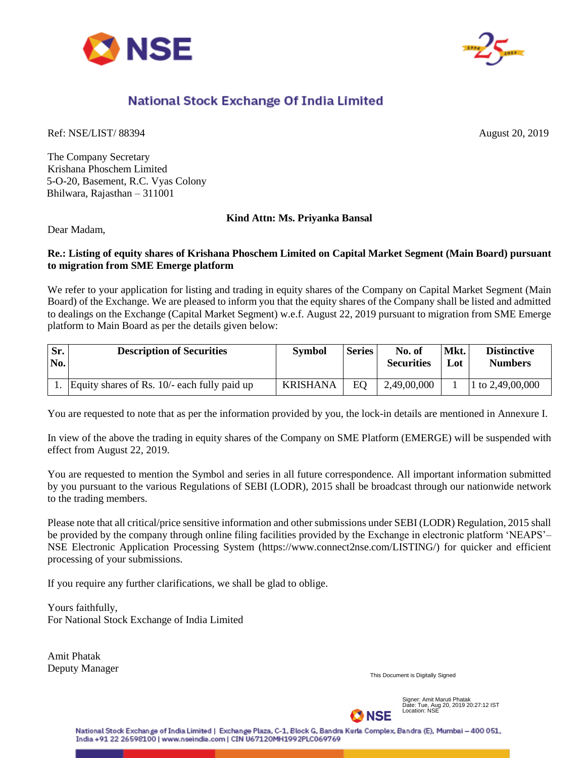



# National Stock Exchange Of India Limited

Ref: NSE/LIST/ 88394 August 20, 2019

The Company Secretary Krishana Phoschem Limited 5-O-20, Basement, R.C. Vyas Colony Bhilwara, Rajasthan – 311001

### **Kind Attn: Ms. Priyanka Bansal**

Dear Madam,

#### **Re.: Listing of equity shares of Krishana Phoschem Limited on Capital Market Segment (Main Board) pursuant to migration from SME Emerge platform**

We refer to your application for listing and trading in equity shares of the Company on Capital Market Segment (Main Board) of the Exchange. We are pleased to inform you that the equity shares of the Company shall be listed and admitted to dealings on the Exchange (Capital Market Segment) w.e.f. August 22, 2019 pursuant to migration from SME Emerge platform to Main Board as per the details given below:

| Sr.<br>No. | <b>Description of Securities</b>               | <b>Symbol</b> | <b>Series</b> | No. of<br><b>Securities</b> | Mkt.<br>Lot | <b>Distinctive</b><br><b>Numbers</b> |
|------------|------------------------------------------------|---------------|---------------|-----------------------------|-------------|--------------------------------------|
|            | Equity shares of Rs. $10/-$ each fully paid up | KRISHANA      | EO            | 2,49,00,000                 |             | 1 to $2,49,00,000$                   |

You are requested to note that as per the information provided by you, the lock-in details are mentioned in Annexure I.

In view of the above the trading in equity shares of the Company on SME Platform (EMERGE) will be suspended with effect from August 22, 2019.

You are requested to mention the Symbol and series in all future correspondence. All important information submitted by you pursuant to the various Regulations of SEBI (LODR), 2015 shall be broadcast through our nationwide network to the trading members.

Please note that all critical/price sensitive information and other submissions under SEBI (LODR) Regulation, 2015 shall be provided by the company through online filing facilities provided by the Exchange in electronic platform 'NEAPS'– NSE Electronic Application Processing System (https://www.connect2nse.com/LISTING/) for quicker and efficient processing of your submissions.

If you require any further clarifications, we shall be glad to oblige.

Yours faithfully, For National Stock Exchange of India Limited

Amit Phatak Deputy Manager

This Document is Digitally Signed



Signer: Amit Maruti Phatak Date: Tue, Aug 20, 2019 20:27:12 IST Location: NSE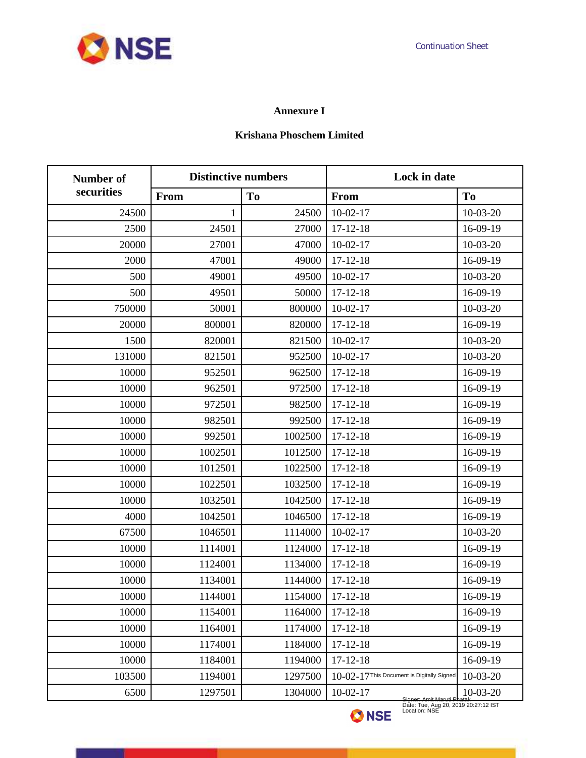## **Annexure I**

#### **Krishana Phoschem Limited**

| Number of  | <b>Distinctive numbers</b> |                | Lock in date                               |                |
|------------|----------------------------|----------------|--------------------------------------------|----------------|
| securities | From                       | T <sub>0</sub> | From                                       | T <sub>o</sub> |
| 24500      | 1                          | 24500          | $10-02-17$                                 | $10-03-20$     |
| 2500       | 24501                      | 27000          | $17 - 12 - 18$                             | 16-09-19       |
| 20000      | 27001                      | 47000          | $10-02-17$                                 | $10-03-20$     |
| 2000       | 47001                      | 49000          | $17 - 12 - 18$                             | 16-09-19       |
| 500        | 49001                      | 49500          | $10-02-17$                                 | $10-03-20$     |
| 500        | 49501                      | 50000          | $17 - 12 - 18$                             | 16-09-19       |
| 750000     | 50001                      | 800000         | $10-02-17$                                 | $10-03-20$     |
| 20000      | 800001                     | 820000         | $17 - 12 - 18$                             | 16-09-19       |
| 1500       | 820001                     | 821500         | $10-02-17$                                 | $10-03-20$     |
| 131000     | 821501                     | 952500         | $10-02-17$                                 | $10-03-20$     |
| 10000      | 952501                     | 962500         | $17 - 12 - 18$                             | 16-09-19       |
| 10000      | 962501                     | 972500         | $17 - 12 - 18$                             | 16-09-19       |
| 10000      | 972501                     | 982500         | $17 - 12 - 18$                             | 16-09-19       |
| 10000      | 982501                     | 992500         | $17 - 12 - 18$                             | 16-09-19       |
| 10000      | 992501                     | 1002500        | $17 - 12 - 18$                             | 16-09-19       |
| 10000      | 1002501                    | 1012500        | $17 - 12 - 18$                             | 16-09-19       |
| 10000      | 1012501                    | 1022500        | $17 - 12 - 18$                             | 16-09-19       |
| 10000      | 1022501                    | 1032500        | $17 - 12 - 18$                             | 16-09-19       |
| 10000      | 1032501                    | 1042500        | $17 - 12 - 18$                             | 16-09-19       |
| 4000       | 1042501                    | 1046500        | $17 - 12 - 18$                             | 16-09-19       |
| 67500      | 1046501                    | 1114000        | $10-02-17$                                 | $10-03-20$     |
| 10000      | 1114001                    | 1124000        | $17 - 12 - 18$                             | 16-09-19       |
| 10000      | 1124001                    | 1134000        | $17 - 12 - 18$                             | 16-09-19       |
| 10000      | 1134001                    | 1144000        | $17 - 12 - 18$                             | 16-09-19       |
| 10000      | 1144001                    | 1154000        | $17 - 12 - 18$                             | 16-09-19       |
| 10000      | 1154001                    | 1164000        | $17 - 12 - 18$                             | 16-09-19       |
| 10000      | 1164001                    | 1174000        | $17 - 12 - 18$                             | 16-09-19       |
| 10000      | 1174001                    | 1184000        | $17 - 12 - 18$                             | 16-09-19       |
| 10000      | 1184001                    | 1194000        | $17 - 12 - 18$                             | 16-09-19       |
| 103500     | 1194001                    | 1297500        | 10-02-17 This Document is Digitally Signed | $10-03-20$     |
| 6500       | 1297501                    | 1304000        | $10-02-17$                                 | $10-03-20$     |

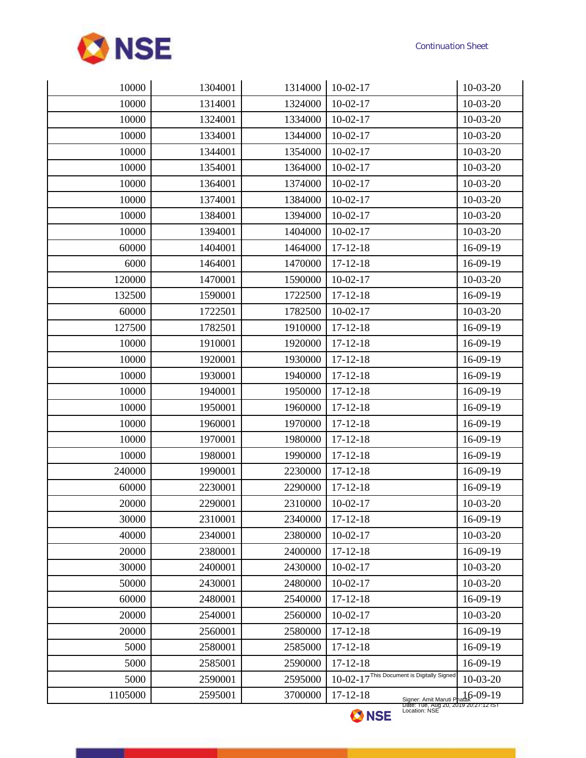

| 10000<br>1314001<br>1324000<br>$10-02-17$<br>$10-03-20$<br>10000<br>1334000<br>$10-02-17$<br>1324001<br>$10-03-20$<br>10000<br>1334001<br>1344000<br>$10-03-20$<br>$10-02-17$<br>10000<br>1354000<br>$10-02-17$<br>1344001<br>$10-03-20$<br>10000<br>1364000<br>$10-03-20$<br>1354001<br>$10-02-17$<br>1374000<br>$10-02-17$<br>10000<br>1364001<br>$10-03-20$<br>10000<br>1384000<br>$10-03-20$<br>1374001<br>$10-02-17$<br>10000<br>1384001<br>1394000<br>$10-03-20$<br>$10-02-17$<br>10000<br>1394001<br>1404000<br>$10-02-17$<br>$10-03-20$<br>16-09-19<br>60000<br>1404001<br>1464000<br>$17 - 12 - 18$<br>1470000<br>$17 - 12 - 18$<br>16-09-19<br>6000<br>1464001<br>120000<br>1470001<br>1590000<br>$10-03-20$<br>$10-02-17$<br>132500<br>1590001<br>1722500<br>$17 - 12 - 18$<br>16-09-19<br>1782500<br>60000<br>1722501<br>$10-02-17$<br>$10-03-20$<br>127500<br>1782501<br>1910000<br>$17 - 12 - 18$<br>16-09-19<br>10000<br>1910001<br>1920000<br>$17 - 12 - 18$<br>16-09-19<br>1930000<br>10000<br>1920001<br>$17 - 12 - 18$<br>16-09-19<br>10000<br>1930001<br>1940000<br>$17 - 12 - 18$<br>16-09-19<br>1950000<br>16-09-19<br>10000<br>1940001<br>$17 - 12 - 18$<br>10000<br>1950001<br>1960000<br>$17 - 12 - 18$<br>16-09-19<br>10000<br>1960001<br>1970000<br>$17 - 12 - 18$<br>16-09-19<br>10000<br>1970001<br>1980000<br>$17 - 12 - 18$<br>16-09-19<br>10000<br>1980001<br>1990000<br>$17 - 12 - 18$<br>16-09-19<br>240000<br>1990001<br>2230000<br>$17 - 12 - 18$<br>16-09-19<br>60000<br>2230001<br>2290000<br>$17 - 12 - 18$<br>16-09-19<br>20000<br>2310000<br>2290001<br>$10-02-17$<br>$10-03-20$<br>30000<br>2310001<br>2340000<br>$17 - 12 - 18$<br>16-09-19<br>40000<br>2340001<br>2380000<br>$10-02-17$<br>$10-03-20$<br>20000<br>2380001<br>2400000<br>$17 - 12 - 18$<br>16-09-19<br>2430000<br>$10-02-17$<br>$10-03-20$<br>30000<br>2400001<br>2430001<br>2480000<br>$10-02-17$<br>$10-03-20$<br>50000<br>60000<br>2480001<br>2540000<br>$17 - 12 - 18$<br>16-09-19<br>20000<br>2540001<br>2560000<br>$10-02-17$<br>$10-03-20$<br>16-09-19<br>20000<br>2560001<br>2580000<br>$17 - 12 - 18$<br>5000<br>2580001<br>2585000<br>$17 - 12 - 18$<br>16-09-19<br>$17 - 12 - 18$<br>5000<br>2585001<br>2590000<br>16-09-19<br>10-02-17 This Document is Digitally Signed<br>5000<br>2590001<br>2595000<br>$10-03-20$<br>1105000<br>2595001<br>3700000<br>$17 - 12 - 18$<br>$6-09-19$<br>Signer: Amit Maruti Phatak <sup>y-</sup> U <sub>2</sub> -13<br>Date: Tue, Aug 20, 2019 20:27:12 IST<br>Location: NSE | 10000 | 1304001 | 1314000 | $10-02-17$ | $10-03-20$ |
|-------------------------------------------------------------------------------------------------------------------------------------------------------------------------------------------------------------------------------------------------------------------------------------------------------------------------------------------------------------------------------------------------------------------------------------------------------------------------------------------------------------------------------------------------------------------------------------------------------------------------------------------------------------------------------------------------------------------------------------------------------------------------------------------------------------------------------------------------------------------------------------------------------------------------------------------------------------------------------------------------------------------------------------------------------------------------------------------------------------------------------------------------------------------------------------------------------------------------------------------------------------------------------------------------------------------------------------------------------------------------------------------------------------------------------------------------------------------------------------------------------------------------------------------------------------------------------------------------------------------------------------------------------------------------------------------------------------------------------------------------------------------------------------------------------------------------------------------------------------------------------------------------------------------------------------------------------------------------------------------------------------------------------------------------------------------------------------------------------------------------------------------------------------------------------------------------------------------------------------------------------------------------------------------------------------------------------------------------------------------------------------------------------------------------------------------------------------------------------------------------------------------------------------|-------|---------|---------|------------|------------|
|                                                                                                                                                                                                                                                                                                                                                                                                                                                                                                                                                                                                                                                                                                                                                                                                                                                                                                                                                                                                                                                                                                                                                                                                                                                                                                                                                                                                                                                                                                                                                                                                                                                                                                                                                                                                                                                                                                                                                                                                                                                                                                                                                                                                                                                                                                                                                                                                                                                                                                                                     |       |         |         |            |            |
|                                                                                                                                                                                                                                                                                                                                                                                                                                                                                                                                                                                                                                                                                                                                                                                                                                                                                                                                                                                                                                                                                                                                                                                                                                                                                                                                                                                                                                                                                                                                                                                                                                                                                                                                                                                                                                                                                                                                                                                                                                                                                                                                                                                                                                                                                                                                                                                                                                                                                                                                     |       |         |         |            |            |
|                                                                                                                                                                                                                                                                                                                                                                                                                                                                                                                                                                                                                                                                                                                                                                                                                                                                                                                                                                                                                                                                                                                                                                                                                                                                                                                                                                                                                                                                                                                                                                                                                                                                                                                                                                                                                                                                                                                                                                                                                                                                                                                                                                                                                                                                                                                                                                                                                                                                                                                                     |       |         |         |            |            |
|                                                                                                                                                                                                                                                                                                                                                                                                                                                                                                                                                                                                                                                                                                                                                                                                                                                                                                                                                                                                                                                                                                                                                                                                                                                                                                                                                                                                                                                                                                                                                                                                                                                                                                                                                                                                                                                                                                                                                                                                                                                                                                                                                                                                                                                                                                                                                                                                                                                                                                                                     |       |         |         |            |            |
|                                                                                                                                                                                                                                                                                                                                                                                                                                                                                                                                                                                                                                                                                                                                                                                                                                                                                                                                                                                                                                                                                                                                                                                                                                                                                                                                                                                                                                                                                                                                                                                                                                                                                                                                                                                                                                                                                                                                                                                                                                                                                                                                                                                                                                                                                                                                                                                                                                                                                                                                     |       |         |         |            |            |
|                                                                                                                                                                                                                                                                                                                                                                                                                                                                                                                                                                                                                                                                                                                                                                                                                                                                                                                                                                                                                                                                                                                                                                                                                                                                                                                                                                                                                                                                                                                                                                                                                                                                                                                                                                                                                                                                                                                                                                                                                                                                                                                                                                                                                                                                                                                                                                                                                                                                                                                                     |       |         |         |            |            |
|                                                                                                                                                                                                                                                                                                                                                                                                                                                                                                                                                                                                                                                                                                                                                                                                                                                                                                                                                                                                                                                                                                                                                                                                                                                                                                                                                                                                                                                                                                                                                                                                                                                                                                                                                                                                                                                                                                                                                                                                                                                                                                                                                                                                                                                                                                                                                                                                                                                                                                                                     |       |         |         |            |            |
|                                                                                                                                                                                                                                                                                                                                                                                                                                                                                                                                                                                                                                                                                                                                                                                                                                                                                                                                                                                                                                                                                                                                                                                                                                                                                                                                                                                                                                                                                                                                                                                                                                                                                                                                                                                                                                                                                                                                                                                                                                                                                                                                                                                                                                                                                                                                                                                                                                                                                                                                     |       |         |         |            |            |
|                                                                                                                                                                                                                                                                                                                                                                                                                                                                                                                                                                                                                                                                                                                                                                                                                                                                                                                                                                                                                                                                                                                                                                                                                                                                                                                                                                                                                                                                                                                                                                                                                                                                                                                                                                                                                                                                                                                                                                                                                                                                                                                                                                                                                                                                                                                                                                                                                                                                                                                                     |       |         |         |            |            |
|                                                                                                                                                                                                                                                                                                                                                                                                                                                                                                                                                                                                                                                                                                                                                                                                                                                                                                                                                                                                                                                                                                                                                                                                                                                                                                                                                                                                                                                                                                                                                                                                                                                                                                                                                                                                                                                                                                                                                                                                                                                                                                                                                                                                                                                                                                                                                                                                                                                                                                                                     |       |         |         |            |            |
|                                                                                                                                                                                                                                                                                                                                                                                                                                                                                                                                                                                                                                                                                                                                                                                                                                                                                                                                                                                                                                                                                                                                                                                                                                                                                                                                                                                                                                                                                                                                                                                                                                                                                                                                                                                                                                                                                                                                                                                                                                                                                                                                                                                                                                                                                                                                                                                                                                                                                                                                     |       |         |         |            |            |
|                                                                                                                                                                                                                                                                                                                                                                                                                                                                                                                                                                                                                                                                                                                                                                                                                                                                                                                                                                                                                                                                                                                                                                                                                                                                                                                                                                                                                                                                                                                                                                                                                                                                                                                                                                                                                                                                                                                                                                                                                                                                                                                                                                                                                                                                                                                                                                                                                                                                                                                                     |       |         |         |            |            |
|                                                                                                                                                                                                                                                                                                                                                                                                                                                                                                                                                                                                                                                                                                                                                                                                                                                                                                                                                                                                                                                                                                                                                                                                                                                                                                                                                                                                                                                                                                                                                                                                                                                                                                                                                                                                                                                                                                                                                                                                                                                                                                                                                                                                                                                                                                                                                                                                                                                                                                                                     |       |         |         |            |            |
|                                                                                                                                                                                                                                                                                                                                                                                                                                                                                                                                                                                                                                                                                                                                                                                                                                                                                                                                                                                                                                                                                                                                                                                                                                                                                                                                                                                                                                                                                                                                                                                                                                                                                                                                                                                                                                                                                                                                                                                                                                                                                                                                                                                                                                                                                                                                                                                                                                                                                                                                     |       |         |         |            |            |
|                                                                                                                                                                                                                                                                                                                                                                                                                                                                                                                                                                                                                                                                                                                                                                                                                                                                                                                                                                                                                                                                                                                                                                                                                                                                                                                                                                                                                                                                                                                                                                                                                                                                                                                                                                                                                                                                                                                                                                                                                                                                                                                                                                                                                                                                                                                                                                                                                                                                                                                                     |       |         |         |            |            |
|                                                                                                                                                                                                                                                                                                                                                                                                                                                                                                                                                                                                                                                                                                                                                                                                                                                                                                                                                                                                                                                                                                                                                                                                                                                                                                                                                                                                                                                                                                                                                                                                                                                                                                                                                                                                                                                                                                                                                                                                                                                                                                                                                                                                                                                                                                                                                                                                                                                                                                                                     |       |         |         |            |            |
|                                                                                                                                                                                                                                                                                                                                                                                                                                                                                                                                                                                                                                                                                                                                                                                                                                                                                                                                                                                                                                                                                                                                                                                                                                                                                                                                                                                                                                                                                                                                                                                                                                                                                                                                                                                                                                                                                                                                                                                                                                                                                                                                                                                                                                                                                                                                                                                                                                                                                                                                     |       |         |         |            |            |
|                                                                                                                                                                                                                                                                                                                                                                                                                                                                                                                                                                                                                                                                                                                                                                                                                                                                                                                                                                                                                                                                                                                                                                                                                                                                                                                                                                                                                                                                                                                                                                                                                                                                                                                                                                                                                                                                                                                                                                                                                                                                                                                                                                                                                                                                                                                                                                                                                                                                                                                                     |       |         |         |            |            |
|                                                                                                                                                                                                                                                                                                                                                                                                                                                                                                                                                                                                                                                                                                                                                                                                                                                                                                                                                                                                                                                                                                                                                                                                                                                                                                                                                                                                                                                                                                                                                                                                                                                                                                                                                                                                                                                                                                                                                                                                                                                                                                                                                                                                                                                                                                                                                                                                                                                                                                                                     |       |         |         |            |            |
|                                                                                                                                                                                                                                                                                                                                                                                                                                                                                                                                                                                                                                                                                                                                                                                                                                                                                                                                                                                                                                                                                                                                                                                                                                                                                                                                                                                                                                                                                                                                                                                                                                                                                                                                                                                                                                                                                                                                                                                                                                                                                                                                                                                                                                                                                                                                                                                                                                                                                                                                     |       |         |         |            |            |
|                                                                                                                                                                                                                                                                                                                                                                                                                                                                                                                                                                                                                                                                                                                                                                                                                                                                                                                                                                                                                                                                                                                                                                                                                                                                                                                                                                                                                                                                                                                                                                                                                                                                                                                                                                                                                                                                                                                                                                                                                                                                                                                                                                                                                                                                                                                                                                                                                                                                                                                                     |       |         |         |            |            |
|                                                                                                                                                                                                                                                                                                                                                                                                                                                                                                                                                                                                                                                                                                                                                                                                                                                                                                                                                                                                                                                                                                                                                                                                                                                                                                                                                                                                                                                                                                                                                                                                                                                                                                                                                                                                                                                                                                                                                                                                                                                                                                                                                                                                                                                                                                                                                                                                                                                                                                                                     |       |         |         |            |            |
|                                                                                                                                                                                                                                                                                                                                                                                                                                                                                                                                                                                                                                                                                                                                                                                                                                                                                                                                                                                                                                                                                                                                                                                                                                                                                                                                                                                                                                                                                                                                                                                                                                                                                                                                                                                                                                                                                                                                                                                                                                                                                                                                                                                                                                                                                                                                                                                                                                                                                                                                     |       |         |         |            |            |
|                                                                                                                                                                                                                                                                                                                                                                                                                                                                                                                                                                                                                                                                                                                                                                                                                                                                                                                                                                                                                                                                                                                                                                                                                                                                                                                                                                                                                                                                                                                                                                                                                                                                                                                                                                                                                                                                                                                                                                                                                                                                                                                                                                                                                                                                                                                                                                                                                                                                                                                                     |       |         |         |            |            |
|                                                                                                                                                                                                                                                                                                                                                                                                                                                                                                                                                                                                                                                                                                                                                                                                                                                                                                                                                                                                                                                                                                                                                                                                                                                                                                                                                                                                                                                                                                                                                                                                                                                                                                                                                                                                                                                                                                                                                                                                                                                                                                                                                                                                                                                                                                                                                                                                                                                                                                                                     |       |         |         |            |            |
|                                                                                                                                                                                                                                                                                                                                                                                                                                                                                                                                                                                                                                                                                                                                                                                                                                                                                                                                                                                                                                                                                                                                                                                                                                                                                                                                                                                                                                                                                                                                                                                                                                                                                                                                                                                                                                                                                                                                                                                                                                                                                                                                                                                                                                                                                                                                                                                                                                                                                                                                     |       |         |         |            |            |
|                                                                                                                                                                                                                                                                                                                                                                                                                                                                                                                                                                                                                                                                                                                                                                                                                                                                                                                                                                                                                                                                                                                                                                                                                                                                                                                                                                                                                                                                                                                                                                                                                                                                                                                                                                                                                                                                                                                                                                                                                                                                                                                                                                                                                                                                                                                                                                                                                                                                                                                                     |       |         |         |            |            |
|                                                                                                                                                                                                                                                                                                                                                                                                                                                                                                                                                                                                                                                                                                                                                                                                                                                                                                                                                                                                                                                                                                                                                                                                                                                                                                                                                                                                                                                                                                                                                                                                                                                                                                                                                                                                                                                                                                                                                                                                                                                                                                                                                                                                                                                                                                                                                                                                                                                                                                                                     |       |         |         |            |            |
|                                                                                                                                                                                                                                                                                                                                                                                                                                                                                                                                                                                                                                                                                                                                                                                                                                                                                                                                                                                                                                                                                                                                                                                                                                                                                                                                                                                                                                                                                                                                                                                                                                                                                                                                                                                                                                                                                                                                                                                                                                                                                                                                                                                                                                                                                                                                                                                                                                                                                                                                     |       |         |         |            |            |
|                                                                                                                                                                                                                                                                                                                                                                                                                                                                                                                                                                                                                                                                                                                                                                                                                                                                                                                                                                                                                                                                                                                                                                                                                                                                                                                                                                                                                                                                                                                                                                                                                                                                                                                                                                                                                                                                                                                                                                                                                                                                                                                                                                                                                                                                                                                                                                                                                                                                                                                                     |       |         |         |            |            |
|                                                                                                                                                                                                                                                                                                                                                                                                                                                                                                                                                                                                                                                                                                                                                                                                                                                                                                                                                                                                                                                                                                                                                                                                                                                                                                                                                                                                                                                                                                                                                                                                                                                                                                                                                                                                                                                                                                                                                                                                                                                                                                                                                                                                                                                                                                                                                                                                                                                                                                                                     |       |         |         |            |            |
|                                                                                                                                                                                                                                                                                                                                                                                                                                                                                                                                                                                                                                                                                                                                                                                                                                                                                                                                                                                                                                                                                                                                                                                                                                                                                                                                                                                                                                                                                                                                                                                                                                                                                                                                                                                                                                                                                                                                                                                                                                                                                                                                                                                                                                                                                                                                                                                                                                                                                                                                     |       |         |         |            |            |
|                                                                                                                                                                                                                                                                                                                                                                                                                                                                                                                                                                                                                                                                                                                                                                                                                                                                                                                                                                                                                                                                                                                                                                                                                                                                                                                                                                                                                                                                                                                                                                                                                                                                                                                                                                                                                                                                                                                                                                                                                                                                                                                                                                                                                                                                                                                                                                                                                                                                                                                                     |       |         |         |            |            |
|                                                                                                                                                                                                                                                                                                                                                                                                                                                                                                                                                                                                                                                                                                                                                                                                                                                                                                                                                                                                                                                                                                                                                                                                                                                                                                                                                                                                                                                                                                                                                                                                                                                                                                                                                                                                                                                                                                                                                                                                                                                                                                                                                                                                                                                                                                                                                                                                                                                                                                                                     |       |         |         |            |            |
|                                                                                                                                                                                                                                                                                                                                                                                                                                                                                                                                                                                                                                                                                                                                                                                                                                                                                                                                                                                                                                                                                                                                                                                                                                                                                                                                                                                                                                                                                                                                                                                                                                                                                                                                                                                                                                                                                                                                                                                                                                                                                                                                                                                                                                                                                                                                                                                                                                                                                                                                     |       |         |         |            |            |
|                                                                                                                                                                                                                                                                                                                                                                                                                                                                                                                                                                                                                                                                                                                                                                                                                                                                                                                                                                                                                                                                                                                                                                                                                                                                                                                                                                                                                                                                                                                                                                                                                                                                                                                                                                                                                                                                                                                                                                                                                                                                                                                                                                                                                                                                                                                                                                                                                                                                                                                                     |       |         |         |            |            |
|                                                                                                                                                                                                                                                                                                                                                                                                                                                                                                                                                                                                                                                                                                                                                                                                                                                                                                                                                                                                                                                                                                                                                                                                                                                                                                                                                                                                                                                                                                                                                                                                                                                                                                                                                                                                                                                                                                                                                                                                                                                                                                                                                                                                                                                                                                                                                                                                                                                                                                                                     |       |         |         |            |            |
|                                                                                                                                                                                                                                                                                                                                                                                                                                                                                                                                                                                                                                                                                                                                                                                                                                                                                                                                                                                                                                                                                                                                                                                                                                                                                                                                                                                                                                                                                                                                                                                                                                                                                                                                                                                                                                                                                                                                                                                                                                                                                                                                                                                                                                                                                                                                                                                                                                                                                                                                     |       |         |         |            |            |

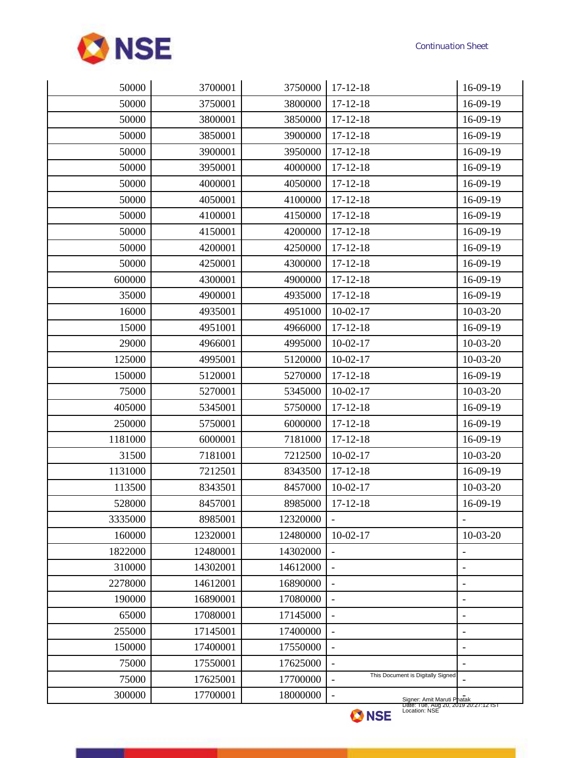

| 50000   | 3700001  | 3750000  | $17 - 12 - 18$                                                                                                      | 16-09-19          |
|---------|----------|----------|---------------------------------------------------------------------------------------------------------------------|-------------------|
| 50000   | 3750001  | 3800000  | $17 - 12 - 18$                                                                                                      | 16-09-19          |
| 50000   | 3800001  | 3850000  | $17 - 12 - 18$                                                                                                      | 16-09-19          |
| 50000   | 3850001  | 3900000  | $17 - 12 - 18$                                                                                                      | 16-09-19          |
| 50000   | 3900001  | 3950000  | $17 - 12 - 18$                                                                                                      | 16-09-19          |
| 50000   | 3950001  | 4000000  | $17 - 12 - 18$                                                                                                      | 16-09-19          |
| 50000   | 4000001  | 4050000  | $17 - 12 - 18$                                                                                                      | 16-09-19          |
| 50000   | 4050001  | 4100000  | $17 - 12 - 18$                                                                                                      | 16-09-19          |
| 50000   | 4100001  | 4150000  | $17 - 12 - 18$                                                                                                      | 16-09-19          |
| 50000   | 4150001  | 4200000  | $17 - 12 - 18$                                                                                                      | 16-09-19          |
| 50000   | 4200001  | 4250000  | $17 - 12 - 18$                                                                                                      | 16-09-19          |
| 50000   | 4250001  | 4300000  | $17 - 12 - 18$                                                                                                      | 16-09-19          |
| 600000  | 4300001  | 4900000  | $17 - 12 - 18$                                                                                                      | 16-09-19          |
| 35000   | 4900001  | 4935000  | $17 - 12 - 18$                                                                                                      | 16-09-19          |
| 16000   | 4935001  | 4951000  | $10-02-17$                                                                                                          | $10-03-20$        |
| 15000   | 4951001  | 4966000  | $17 - 12 - 18$                                                                                                      | 16-09-19          |
| 29000   | 4966001  | 4995000  | $10-02-17$                                                                                                          | $10-03-20$        |
| 125000  | 4995001  | 5120000  | $10-02-17$                                                                                                          | $10-03-20$        |
| 150000  | 5120001  | 5270000  | $17 - 12 - 18$                                                                                                      | 16-09-19          |
| 75000   | 5270001  | 5345000  | $10-02-17$                                                                                                          | $10-03-20$        |
| 405000  | 5345001  | 5750000  | $17 - 12 - 18$                                                                                                      | 16-09-19          |
| 250000  | 5750001  | 6000000  | $17 - 12 - 18$                                                                                                      | 16-09-19          |
| 1181000 | 6000001  | 7181000  | $17 - 12 - 18$                                                                                                      | 16-09-19          |
| 31500   | 7181001  | 7212500  | $10-02-17$                                                                                                          | $10-03-20$        |
| 1131000 | 7212501  | 8343500  | $17 - 12 - 18$                                                                                                      | 16-09-19          |
| 113500  | 8343501  | 8457000  | $10-02-17$                                                                                                          | $10-03-20$        |
| 528000  | 8457001  | 8985000  | $17 - 12 - 18$                                                                                                      | 16-09-19          |
| 3335000 | 8985001  | 12320000 |                                                                                                                     |                   |
| 160000  | 12320001 | 12480000 | $10-02-17$                                                                                                          | $10-03-20$        |
| 1822000 | 12480001 | 14302000 |                                                                                                                     | ł,                |
| 310000  | 14302001 | 14612000 |                                                                                                                     | ٠                 |
| 2278000 | 14612001 | 16890000 | $\overline{a}$                                                                                                      | $\overline{a}$    |
| 190000  | 16890001 | 17080000 | $\qquad \qquad -$                                                                                                   | ÷,                |
| 65000   | 17080001 | 17145000 | $\blacksquare$                                                                                                      | $\overline{a}$    |
| 255000  | 17145001 | 17400000 |                                                                                                                     | $\overline{a}$    |
| 150000  | 17400001 | 17550000 |                                                                                                                     | $\overline{a}$    |
| 75000   | 17550001 | 17625000 | $\overline{\phantom{0}}$                                                                                            | $\qquad \qquad -$ |
| 75000   | 17625001 | 17700000 | This Document is Digitally Signed<br>$\overline{\phantom{a}}$                                                       |                   |
| 300000  | 17700001 | 18000000 | $\qquad \qquad \blacksquare$<br>Signer: Amit Maruti Phatak<br>Date: Tue, Aug 20, 2019 20:27:12 IST<br>Location: NSE |                   |
|         |          |          | <b>ANIAP</b>                                                                                                        |                   |